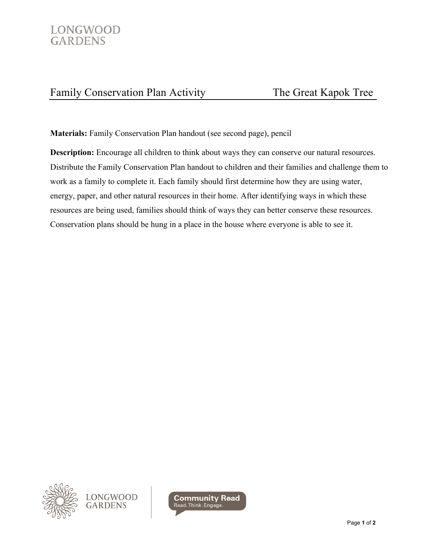

## Family Conservation Plan Activity The Great Kapok Tree

**Materials:** Family Conservation Plan handout (see second page), pencil

**Description:** Encourage all children to think about ways they can conserve our natural resources. Distribute the Family Conservation Plan handout to children and their families and challenge them to work as a family to complete it. Each family should first determine how they are using water, energy, paper, and other natural resources in their home. After identifying ways in which these resources are being used, families should think of ways they can better conserve these resources. Conservation plans should be hung in a place in the house where everyone is able to see it.



LONGWOOD<br>GARDENS